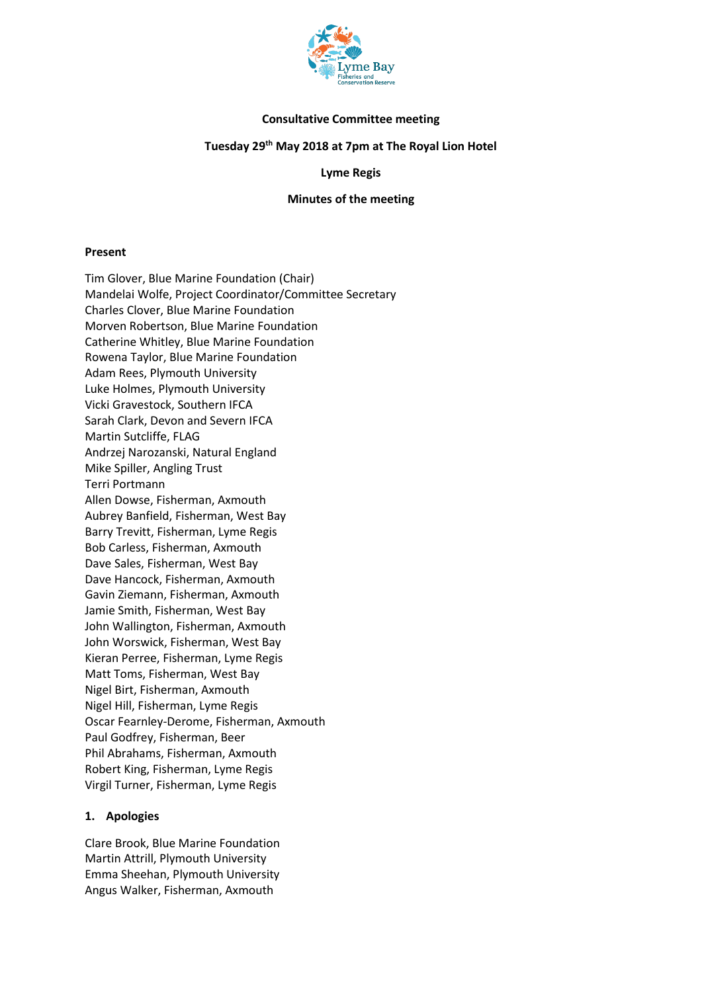

### **Consultative Committee meeting**

### **Tuesday 29th May 2018 at 7pm at The Royal Lion Hotel**

### **Lyme Regis**

### **Minutes of the meeting**

#### **Present**

Tim Glover, Blue Marine Foundation (Chair) Mandelai Wolfe, Project Coordinator/Committee Secretary Charles Clover, Blue Marine Foundation Morven Robertson, Blue Marine Foundation Catherine Whitley, Blue Marine Foundation Rowena Taylor, Blue Marine Foundation Adam Rees, Plymouth University Luke Holmes, Plymouth University Vicki Gravestock, Southern IFCA Sarah Clark, Devon and Severn IFCA Martin Sutcliffe, FLAG Andrzej Narozanski, Natural England Mike Spiller, Angling Trust Terri Portmann Allen Dowse, Fisherman, Axmouth Aubrey Banfield, Fisherman, West Bay Barry Trevitt, Fisherman, Lyme Regis Bob Carless, Fisherman, Axmouth Dave Sales, Fisherman, West Bay Dave Hancock, Fisherman, Axmouth Gavin Ziemann, Fisherman, Axmouth Jamie Smith, Fisherman, West Bay John Wallington, Fisherman, Axmouth John Worswick, Fisherman, West Bay Kieran Perree, Fisherman, Lyme Regis Matt Toms, Fisherman, West Bay Nigel Birt, Fisherman, Axmouth Nigel Hill, Fisherman, Lyme Regis Oscar Fearnley-Derome, Fisherman, Axmouth Paul Godfrey, Fisherman, Beer Phil Abrahams, Fisherman, Axmouth Robert King, Fisherman, Lyme Regis Virgil Turner, Fisherman, Lyme Regis

### **1. Apologies**

Clare Brook, Blue Marine Foundation Martin Attrill, Plymouth University Emma Sheehan, Plymouth University Angus Walker, Fisherman, Axmouth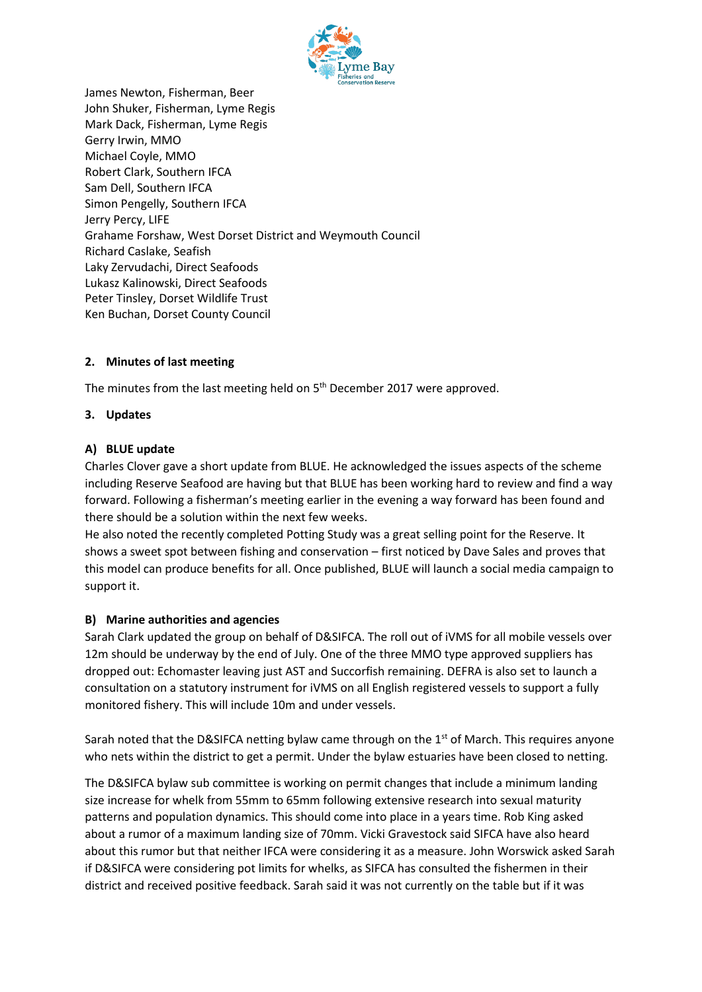

James Newton, Fisherman, Beer John Shuker, Fisherman, Lyme Regis Mark Dack, Fisherman, Lyme Regis Gerry Irwin, MMO Michael Coyle, MMO Robert Clark, Southern IFCA Sam Dell, Southern IFCA Simon Pengelly, Southern IFCA Jerry Percy, LIFE Grahame Forshaw, West Dorset District and Weymouth Council Richard Caslake, Seafish Laky Zervudachi, Direct Seafoods Lukasz Kalinowski, Direct Seafoods Peter Tinsley, Dorset Wildlife Trust Ken Buchan, Dorset County Council

# **2. Minutes of last meeting**

The minutes from the last meeting held on 5<sup>th</sup> December 2017 were approved.

### **3. Updates**

### **A) BLUE update**

Charles Clover gave a short update from BLUE. He acknowledged the issues aspects of the scheme including Reserve Seafood are having but that BLUE has been working hard to review and find a way forward. Following a fisherman's meeting earlier in the evening a way forward has been found and there should be a solution within the next few weeks.

He also noted the recently completed Potting Study was a great selling point for the Reserve. It shows a sweet spot between fishing and conservation – first noticed by Dave Sales and proves that this model can produce benefits for all. Once published, BLUE will launch a social media campaign to support it.

### **B) Marine authorities and agencies**

Sarah Clark updated the group on behalf of D&SIFCA. The roll out of iVMS for all mobile vessels over 12m should be underway by the end of July. One of the three MMO type approved suppliers has dropped out: Echomaster leaving just AST and Succorfish remaining. DEFRA is also set to launch a consultation on a statutory instrument for iVMS on all English registered vessels to support a fully monitored fishery. This will include 10m and under vessels.

Sarah noted that the D&SIFCA netting bylaw came through on the  $1<sup>st</sup>$  of March. This requires anyone who nets within the district to get a permit. Under the bylaw estuaries have been closed to netting.

The D&SIFCA bylaw sub committee is working on permit changes that include a minimum landing size increase for whelk from 55mm to 65mm following extensive research into sexual maturity patterns and population dynamics. This should come into place in a years time. Rob King asked about a rumor of a maximum landing size of 70mm. Vicki Gravestock said SIFCA have also heard about this rumor but that neither IFCA were considering it as a measure. John Worswick asked Sarah if D&SIFCA were considering pot limits for whelks, as SIFCA has consulted the fishermen in their district and received positive feedback. Sarah said it was not currently on the table but if it was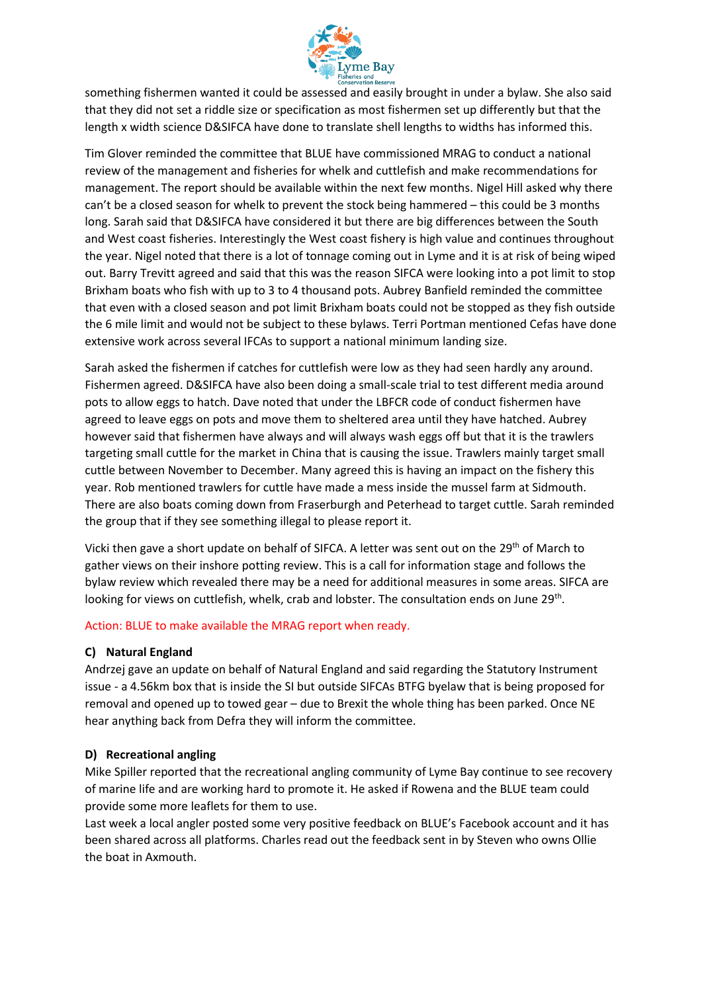

something fishermen wanted it could be assessed and easily brought in under a bylaw. She also said that they did not set a riddle size or specification as most fishermen set up differently but that the length x width science D&SIFCA have done to translate shell lengths to widths has informed this.

Tim Glover reminded the committee that BLUE have commissioned MRAG to conduct a national review of the management and fisheries for whelk and cuttlefish and make recommendations for management. The report should be available within the next few months. Nigel Hill asked why there can't be a closed season for whelk to prevent the stock being hammered – this could be 3 months long. Sarah said that D&SIFCA have considered it but there are big differences between the South and West coast fisheries. Interestingly the West coast fishery is high value and continues throughout the year. Nigel noted that there is a lot of tonnage coming out in Lyme and it is at risk of being wiped out. Barry Trevitt agreed and said that this was the reason SIFCA were looking into a pot limit to stop Brixham boats who fish with up to 3 to 4 thousand pots. Aubrey Banfield reminded the committee that even with a closed season and pot limit Brixham boats could not be stopped as they fish outside the 6 mile limit and would not be subject to these bylaws. Terri Portman mentioned Cefas have done extensive work across several IFCAs to support a national minimum landing size.

Sarah asked the fishermen if catches for cuttlefish were low as they had seen hardly any around. Fishermen agreed. D&SIFCA have also been doing a small-scale trial to test different media around pots to allow eggs to hatch. Dave noted that under the LBFCR code of conduct fishermen have agreed to leave eggs on pots and move them to sheltered area until they have hatched. Aubrey however said that fishermen have always and will always wash eggs off but that it is the trawlers targeting small cuttle for the market in China that is causing the issue. Trawlers mainly target small cuttle between November to December. Many agreed this is having an impact on the fishery this year. Rob mentioned trawlers for cuttle have made a mess inside the mussel farm at Sidmouth. There are also boats coming down from Fraserburgh and Peterhead to target cuttle. Sarah reminded the group that if they see something illegal to please report it.

Vicki then gave a short update on behalf of SIFCA. A letter was sent out on the 29th of March to gather views on their inshore potting review. This is a call for information stage and follows the bylaw review which revealed there may be a need for additional measures in some areas. SIFCA are looking for views on cuttlefish, whelk, crab and lobster. The consultation ends on June 29<sup>th</sup>.

### Action: BLUE to make available the MRAG report when ready.

# **C) Natural England**

Andrzej gave an update on behalf of Natural England and said regarding the Statutory Instrument issue - a 4.56km box that is inside the SI but outside SIFCAs BTFG byelaw that is being proposed for removal and opened up to towed gear – due to Brexit the whole thing has been parked. Once NE hear anything back from Defra they will inform the committee.

# **D) Recreational angling**

Mike Spiller reported that the recreational angling community of Lyme Bay continue to see recovery of marine life and are working hard to promote it. He asked if Rowena and the BLUE team could provide some more leaflets for them to use.

Last week a local angler posted some very positive feedback on BLUE's Facebook account and it has been shared across all platforms. Charles read out the feedback sent in by Steven who owns Ollie the boat in Axmouth.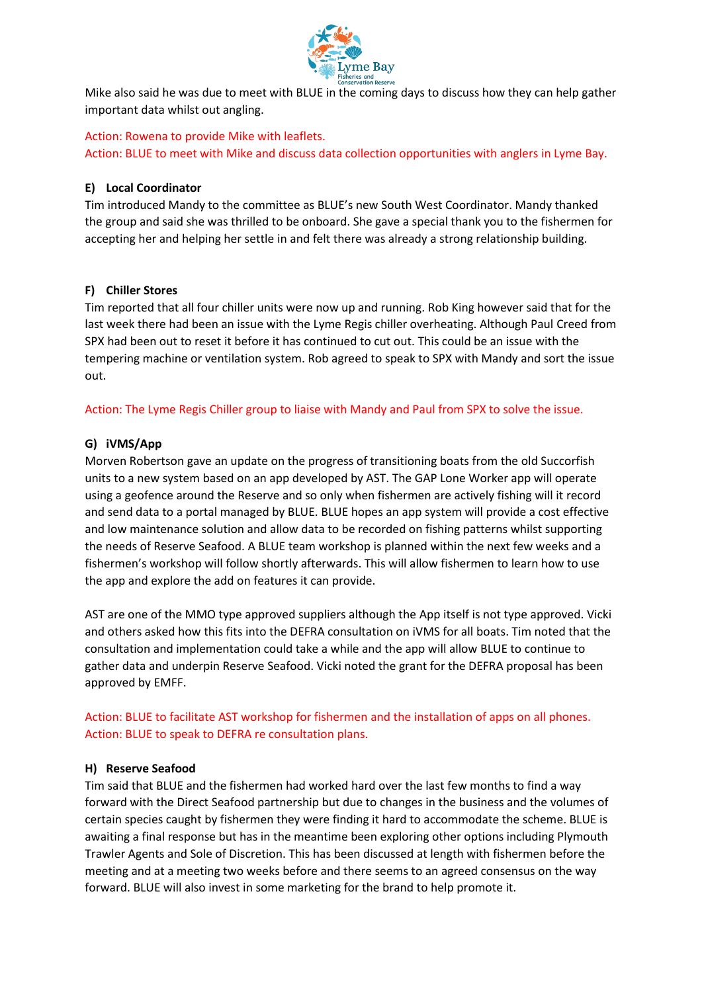

Mike also said he was due to meet with BLUE in the coming days to discuss how they can help gather important data whilst out angling.

Action: Rowena to provide Mike with leaflets. Action: BLUE to meet with Mike and discuss data collection opportunities with anglers in Lyme Bay.

# **E) Local Coordinator**

Tim introduced Mandy to the committee as BLUE's new South West Coordinator. Mandy thanked the group and said she was thrilled to be onboard. She gave a special thank you to the fishermen for accepting her and helping her settle in and felt there was already a strong relationship building.

# **F) Chiller Stores**

Tim reported that all four chiller units were now up and running. Rob King however said that for the last week there had been an issue with the Lyme Regis chiller overheating. Although Paul Creed from SPX had been out to reset it before it has continued to cut out. This could be an issue with the tempering machine or ventilation system. Rob agreed to speak to SPX with Mandy and sort the issue out.

Action: The Lyme Regis Chiller group to liaise with Mandy and Paul from SPX to solve the issue.

# **G) iVMS/App**

Morven Robertson gave an update on the progress of transitioning boats from the old Succorfish units to a new system based on an app developed by AST. The GAP Lone Worker app will operate using a geofence around the Reserve and so only when fishermen are actively fishing will it record and send data to a portal managed by BLUE. BLUE hopes an app system will provide a cost effective and low maintenance solution and allow data to be recorded on fishing patterns whilst supporting the needs of Reserve Seafood. A BLUE team workshop is planned within the next few weeks and a fishermen's workshop will follow shortly afterwards. This will allow fishermen to learn how to use the app and explore the add on features it can provide.

AST are one of the MMO type approved suppliers although the App itself is not type approved. Vicki and others asked how this fits into the DEFRA consultation on iVMS for all boats. Tim noted that the consultation and implementation could take a while and the app will allow BLUE to continue to gather data and underpin Reserve Seafood. Vicki noted the grant for the DEFRA proposal has been approved by EMFF.

Action: BLUE to facilitate AST workshop for fishermen and the installation of apps on all phones. Action: BLUE to speak to DEFRA re consultation plans.

# **H) Reserve Seafood**

Tim said that BLUE and the fishermen had worked hard over the last few months to find a way forward with the Direct Seafood partnership but due to changes in the business and the volumes of certain species caught by fishermen they were finding it hard to accommodate the scheme. BLUE is awaiting a final response but has in the meantime been exploring other options including Plymouth Trawler Agents and Sole of Discretion. This has been discussed at length with fishermen before the meeting and at a meeting two weeks before and there seems to an agreed consensus on the way forward. BLUE will also invest in some marketing for the brand to help promote it.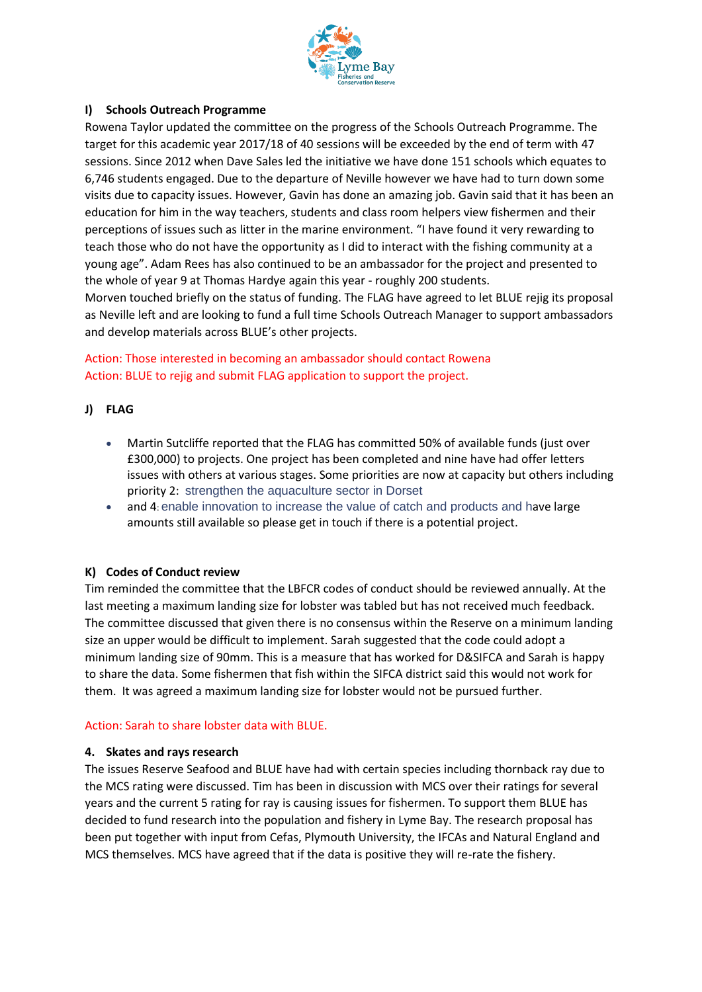

### **I) Schools Outreach Programme**

Rowena Taylor updated the committee on the progress of the Schools Outreach Programme. The target for this academic year 2017/18 of 40 sessions will be exceeded by the end of term with 47 sessions. Since 2012 when Dave Sales led the initiative we have done 151 schools which equates to 6,746 students engaged. Due to the departure of Neville however we have had to turn down some visits due to capacity issues. However, Gavin has done an amazing job. Gavin said that it has been an education for him in the way teachers, students and class room helpers view fishermen and their perceptions of issues such as litter in the marine environment. "I have found it very rewarding to teach those who do not have the opportunity as I did to interact with the fishing community at a young age". Adam Rees has also continued to be an ambassador for the project and presented to the whole of year 9 at Thomas Hardye again this year - roughly 200 students.

Morven touched briefly on the status of funding. The FLAG have agreed to let BLUE rejig its proposal as Neville left and are looking to fund a full time Schools Outreach Manager to support ambassadors and develop materials across BLUE's other projects.

# Action: Those interested in becoming an ambassador should contact Rowena Action: BLUE to rejig and submit FLAG application to support the project.

### **J) FLAG**

- Martin Sutcliffe reported that the FLAG has committed 50% of available funds (just over £300,000) to projects. One project has been completed and nine have had offer letters issues with others at various stages. Some priorities are now at capacity but others including priority 2: strengthen the aquaculture sector in Dorset
- and 4: enable innovation to increase the value of catch and products and have large amounts still available so please get in touch if there is a potential project.

### **K) Codes of Conduct review**

Tim reminded the committee that the LBFCR codes of conduct should be reviewed annually. At the last meeting a maximum landing size for lobster was tabled but has not received much feedback. The committee discussed that given there is no consensus within the Reserve on a minimum landing size an upper would be difficult to implement. Sarah suggested that the code could adopt a minimum landing size of 90mm. This is a measure that has worked for D&SIFCA and Sarah is happy to share the data. Some fishermen that fish within the SIFCA district said this would not work for them. It was agreed a maximum landing size for lobster would not be pursued further.

### Action: Sarah to share lobster data with BLUE.

### **4. Skates and rays research**

The issues Reserve Seafood and BLUE have had with certain species including thornback ray due to the MCS rating were discussed. Tim has been in discussion with MCS over their ratings for several years and the current 5 rating for ray is causing issues for fishermen. To support them BLUE has decided to fund research into the population and fishery in Lyme Bay. The research proposal has been put together with input from Cefas, Plymouth University, the IFCAs and Natural England and MCS themselves. MCS have agreed that if the data is positive they will re-rate the fishery.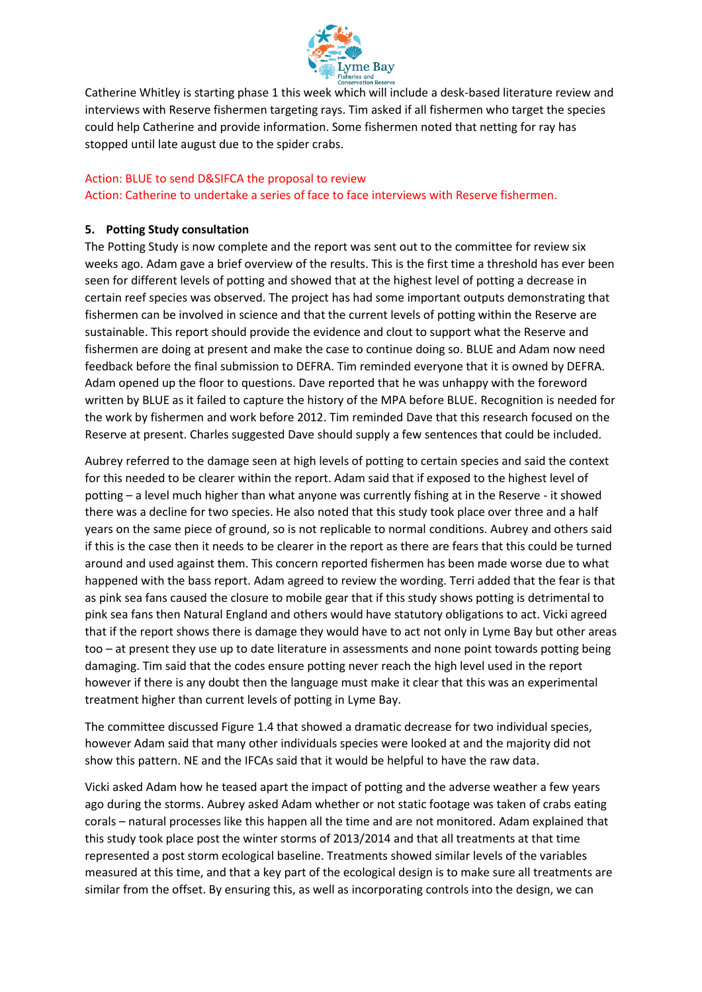

Catherine Whitley is starting phase 1 this week which will include a desk-based literature review and interviews with Reserve fishermen targeting rays. Tim asked if all fishermen who target the species could help Catherine and provide information. Some fishermen noted that netting for ray has stopped until late august due to the spider crabs.

# Action: BLUE to send D&SIFCA the proposal to review

Action: Catherine to undertake a series of face to face interviews with Reserve fishermen.

# **5. Potting Study consultation**

The Potting Study is now complete and the report was sent out to the committee for review six weeks ago. Adam gave a brief overview of the results. This is the first time a threshold has ever been seen for different levels of potting and showed that at the highest level of potting a decrease in certain reef species was observed. The project has had some important outputs demonstrating that fishermen can be involved in science and that the current levels of potting within the Reserve are sustainable. This report should provide the evidence and clout to support what the Reserve and fishermen are doing at present and make the case to continue doing so. BLUE and Adam now need feedback before the final submission to DEFRA. Tim reminded everyone that it is owned by DEFRA. Adam opened up the floor to questions. Dave reported that he was unhappy with the foreword written by BLUE as it failed to capture the history of the MPA before BLUE. Recognition is needed for the work by fishermen and work before 2012. Tim reminded Dave that this research focused on the Reserve at present. Charles suggested Dave should supply a few sentences that could be included.

Aubrey referred to the damage seen at high levels of potting to certain species and said the context for this needed to be clearer within the report. Adam said that if exposed to the highest level of potting – a level much higher than what anyone was currently fishing at in the Reserve - it showed there was a decline for two species. He also noted that this study took place over three and a half years on the same piece of ground, so is not replicable to normal conditions. Aubrey and others said if this is the case then it needs to be clearer in the report as there are fears that this could be turned around and used against them. This concern reported fishermen has been made worse due to what happened with the bass report. Adam agreed to review the wording. Terri added that the fear is that as pink sea fans caused the closure to mobile gear that if this study shows potting is detrimental to pink sea fans then Natural England and others would have statutory obligations to act. Vicki agreed that if the report shows there is damage they would have to act not only in Lyme Bay but other areas too – at present they use up to date literature in assessments and none point towards potting being damaging. Tim said that the codes ensure potting never reach the high level used in the report however if there is any doubt then the language must make it clear that this was an experimental treatment higher than current levels of potting in Lyme Bay.

The committee discussed Figure 1.4 that showed a dramatic decrease for two individual species, however Adam said that many other individuals species were looked at and the majority did not show this pattern. NE and the IFCAs said that it would be helpful to have the raw data.

Vicki asked Adam how he teased apart the impact of potting and the adverse weather a few years ago during the storms. Aubrey asked Adam whether or not static footage was taken of crabs eating corals – natural processes like this happen all the time and are not monitored. Adam explained that this study took place post the winter storms of 2013/2014 and that all treatments at that time represented a post storm ecological baseline. Treatments showed similar levels of the variables measured at this time, and that a key part of the ecological design is to make sure all treatments are similar from the offset. By ensuring this, as well as incorporating controls into the design, we can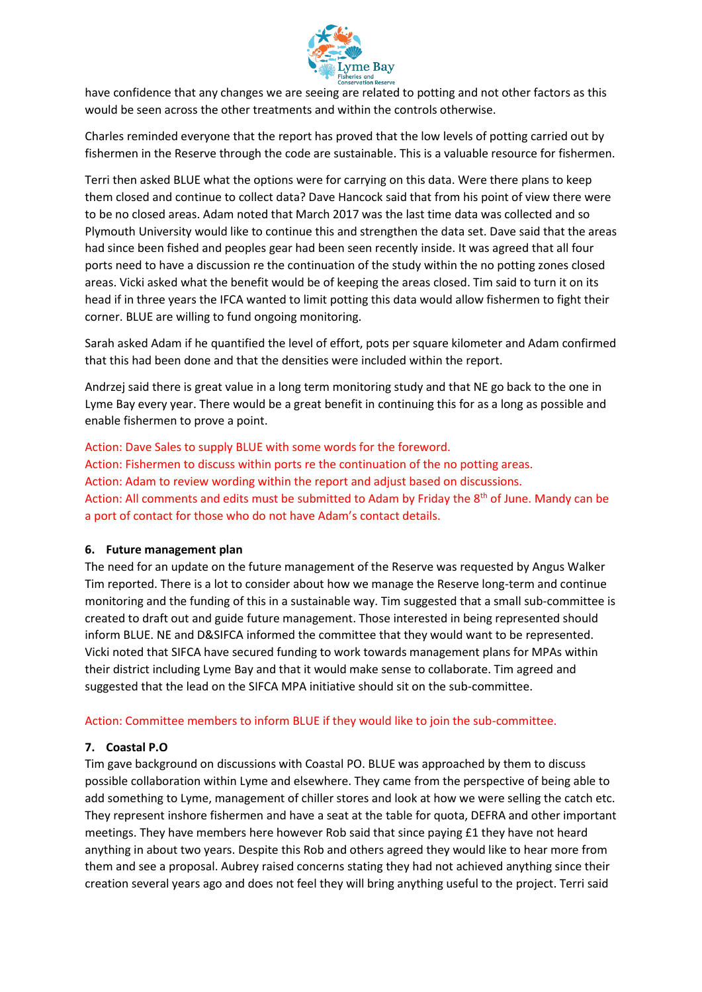

have confidence that any changes we are seeing are related to potting and not other factors as this would be seen across the other treatments and within the controls otherwise.

Charles reminded everyone that the report has proved that the low levels of potting carried out by fishermen in the Reserve through the code are sustainable. This is a valuable resource for fishermen.

Terri then asked BLUE what the options were for carrying on this data. Were there plans to keep them closed and continue to collect data? Dave Hancock said that from his point of view there were to be no closed areas. Adam noted that March 2017 was the last time data was collected and so Plymouth University would like to continue this and strengthen the data set. Dave said that the areas had since been fished and peoples gear had been seen recently inside. It was agreed that all four ports need to have a discussion re the continuation of the study within the no potting zones closed areas. Vicki asked what the benefit would be of keeping the areas closed. Tim said to turn it on its head if in three years the IFCA wanted to limit potting this data would allow fishermen to fight their corner. BLUE are willing to fund ongoing monitoring.

Sarah asked Adam if he quantified the level of effort, pots per square kilometer and Adam confirmed that this had been done and that the densities were included within the report.

Andrzej said there is great value in a long term monitoring study and that NE go back to the one in Lyme Bay every year. There would be a great benefit in continuing this for as a long as possible and enable fishermen to prove a point.

Action: Dave Sales to supply BLUE with some words for the foreword. Action: Fishermen to discuss within ports re the continuation of the no potting areas. Action: Adam to review wording within the report and adjust based on discussions. Action: All comments and edits must be submitted to Adam by Friday the 8<sup>th</sup> of June. Mandy can be a port of contact for those who do not have Adam's contact details.

### **6. Future management plan**

The need for an update on the future management of the Reserve was requested by Angus Walker Tim reported. There is a lot to consider about how we manage the Reserve long-term and continue monitoring and the funding of this in a sustainable way. Tim suggested that a small sub-committee is created to draft out and guide future management. Those interested in being represented should inform BLUE. NE and D&SIFCA informed the committee that they would want to be represented. Vicki noted that SIFCA have secured funding to work towards management plans for MPAs within their district including Lyme Bay and that it would make sense to collaborate. Tim agreed and suggested that the lead on the SIFCA MPA initiative should sit on the sub-committee.

### Action: Committee members to inform BLUE if they would like to join the sub-committee.

# **7. Coastal P.O**

Tim gave background on discussions with Coastal PO. BLUE was approached by them to discuss possible collaboration within Lyme and elsewhere. They came from the perspective of being able to add something to Lyme, management of chiller stores and look at how we were selling the catch etc. They represent inshore fishermen and have a seat at the table for quota, DEFRA and other important meetings. They have members here however Rob said that since paying £1 they have not heard anything in about two years. Despite this Rob and others agreed they would like to hear more from them and see a proposal. Aubrey raised concerns stating they had not achieved anything since their creation several years ago and does not feel they will bring anything useful to the project. Terri said